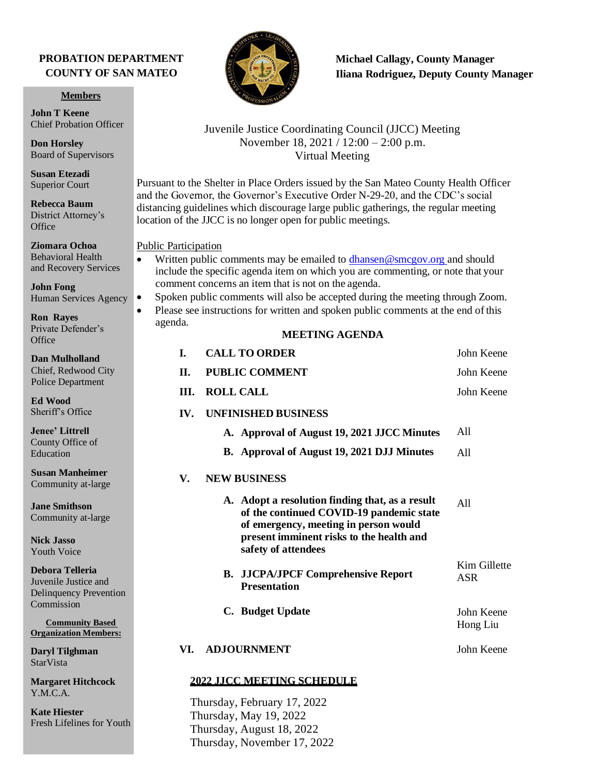### **PROBATION DEPARTMENT COUNTY OF SAN MATEO**

**Members**

**John T Keene** Chief Probation Officer

**Don Horsley** Board of Supervisors

**Susan Etezadi** Superior Court

**Rebecca Baum**  District Attorney's **Office** 

**Ziomara Ochoa** Behavioral Health and Recovery Services

**John Fong** Human Services Agency

**Ron Rayes**  Private Defender's **Office** 

**Dan Mulholland**  Chief, Redwood City Police Department

**Ed Wood** Sheriff's Office

**Jenee' Littrell** County Office of Education

**Susan Manheimer** Community at-large

**Jane Smithson** Community at-large

**Nick Jasso** Youth Voice

**Debora Telleria**  Juvenile Justice and Delinquency Prevention Commission

**Community Based Organization Members:**

**Daryl Tilghman StarVista** 

**Margaret Hitchcock** Y.M.C.A.

**Kate Hiester** Fresh Lifelines for Youth



# **Michael Callagy, County Manager Iliana Rodriguez, Deputy County Manager**

### Juvenile Justice Coordinating Council (JJCC) Meeting November 18, 2021 / 12:00 – 2:00 p.m. Virtual Meeting

Pursuant to the Shelter in Place Orders issued by the San Mateo County Health Officer and the Governor, the Governor's Executive Order N-29-20, and the CDC's social distancing guidelines which discourage large public gatherings, the regular meeting location of the JJCC is no longer open for public meetings.

#### Public Participation

- Written public comments may be emailed to [dhansen@smcgov.org a](mailto:dhansen@smcgov.org)nd should include the specific agenda item on which you are commenting, or note that your comment concerns an item that is not on the agenda.
- Spoken public comments will also be accepted during the meeting through Zoom.
- Please see instructions for written and spoken public comments at the end of this agenda.

### **MEETING AGENDA**

| L.                       | <b>CALL TO ORDER</b>                                                                                                                                                                                    | John Keene                 |
|--------------------------|---------------------------------------------------------------------------------------------------------------------------------------------------------------------------------------------------------|----------------------------|
| П.                       | <b>PUBLIC COMMENT</b>                                                                                                                                                                                   | John Keene                 |
| III.                     | <b>ROLL CALL</b>                                                                                                                                                                                        | John Keene                 |
| $\mathbf{IV}_{\text{L}}$ | <b>UNFINISHED BUSINESS</b>                                                                                                                                                                              |                            |
|                          | A. Approval of August 19, 2021 JJCC Minutes                                                                                                                                                             | All                        |
|                          | B. Approval of August 19, 2021 DJJ Minutes                                                                                                                                                              | A11                        |
| V.                       | <b>NEW BUSINESS</b>                                                                                                                                                                                     |                            |
|                          | A. Adopt a resolution finding that, as a result<br>of the continued COVID-19 pandemic state<br>of emergency, meeting in person would<br>present imminent risks to the health and<br>safety of attendees | A11                        |
|                          | <b>B.</b> JJCPA/JPCF Comprehensive Report<br><b>Presentation</b>                                                                                                                                        | Kim Gillette<br><b>ASR</b> |
|                          | C. Budget Update                                                                                                                                                                                        | John Keene<br>Hong Liu     |
| VI.                      | <b>ADJOURNMENT</b>                                                                                                                                                                                      | John Keene                 |
|                          |                                                                                                                                                                                                         |                            |

# **2022 JJCC MEETING SCHEDULE**

Thursday, February 17, 2022 Thursday, May 19, 2022 Thursday, August 18, 2022 Thursday, November 17, 2022